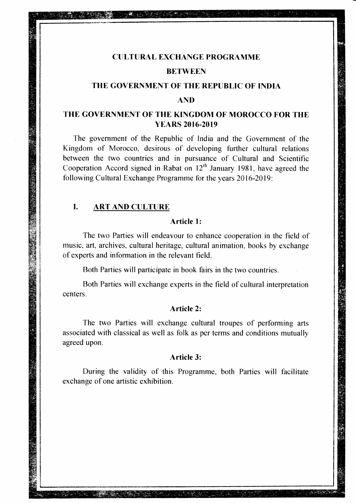# CTILTTIRAL EXCHANGE PROGRAMME

# **BETWEEN**

# THE GOVERNMENT OF THE REPUBLIC OF INDIA

#### **AND**

# THE GOVERNMENT OF THE KINGDOM OF MOROCCO FOR THE YEARS 2016-2019

The government of the Republic of India and the Government of the Kingdom of Morocco, desirous of developing further cultural relations befween the two countries and in pursuance of Cultural and Scientific Cooperation Accord signed in Rabat on  $12<sup>th</sup>$  January 1981, have agreed the following Cultural Exchange Programme for the years 2016-2019:

#### $\mathbf{L}$ **ART AND CULTURE**

# Article l:

The two Parties will endeavour to enhance cooperation in the field of music, art, archives, cultural heritage, cultural animation, books by exchange of experts and information in the relevant field.

Both Parties will participate in book fairs in the two countries.

Both Parties will exchange experts in the field of cultural interpretation centers.

# Article 2:

The two Parties will exchange cultural troupes of performing arts associated with classical as well as folk as per terms and conditions mutually agreed upon.

# Article 3:

During the validity of this Programme, both Parties will facilitate exchange of one artistic exhibition.

Martin Martin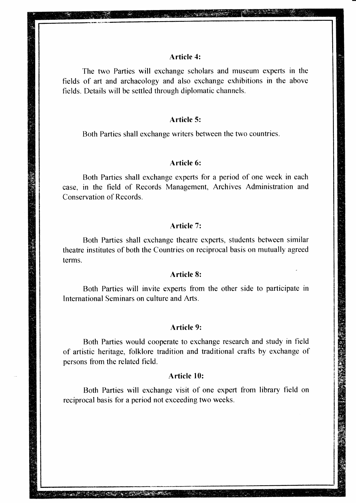#### Article 4:

**All the Contract of the Contract of the Contract of the Contract of the Contract of the Contract of the Contract of the Contract of the Contract of the Contract of the Contract of the Contract of the Contract of the Contr** 

The two Parties will exchange scholars and museum experts in the fields of art and archaeology and also exchange exhibitions in the above fields. Details will be settled through diplomatic channels.

#### Article 5:

Both Parties shall exchange writers between the two countries.

#### Article 6:

Both Parties shall exchange experts for a period of one week in each case, in the field of Records Management, Archives Administration and Conservation of Records.

## Article 7:

Both Parties shall exchange theatre experts, students between similar theatre institutes of both the Countries on reciprocal basis on mutually agreed terms.

#### Article 8:

Both Parties will invite experts from the other side to participate in International Seminars on culture and Arts.

#### Article 9:

Both Parties would cooperate to exchange research and study in field of artistic heritage, tblklore tradition and traditional crafts by exchange of persons from the related field.

#### Article 10:

Both Parties will exchange visit of one expert from library field reciprocal basis for a period not exceeding two weeks.

<u>TAN SALA</u>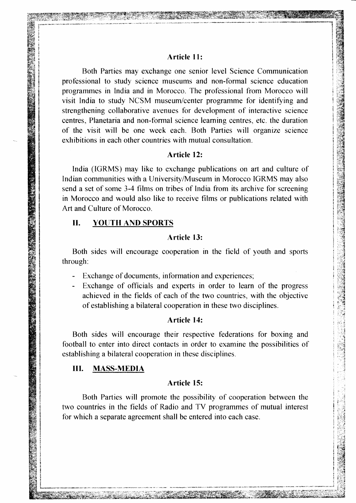## Article 11:

Both Parties may erchange one senior level Science Communication professional to study science museums and non-formal science education programmes in lndia and in Morocco. The professional from Morocco will visit India to study NCSM museum/center programme for identifying and strengthening collaborative avenues for development of interactive science centres, Planetaria and non-tbrmal science learning centres, etc. the duration of- the visit will be one week each. Both Parties will organize science exhibitions in each other countries with mutual consultation.

## Article 12:

India (IGRMS) may like to exchange publications on art and culture of Indian communities with a University/Museum in Morocco IGRMS may also send a set of some 3-4 films on tribes of India from its archive for screening in Morocco and would also like to receive films or publications related with Art and Culture of Morocco.

# II. YOUTH AND SPORTS

.\*,SI1i

## Article l3:

Both sides will encourage cooperation in the field of youth and sports through:

- Exchange of documents, information and experiences;
- Exchange of officials and experts in order to learn of the progress achieved in the fields of each of the two countries, with the objective of establishing a bilateral cooperation in these two disciplines.

# Article 14:

Both sides will encourage their respective federations for boxing and football to enter into direct contacts in order to examine the possibilities of establishing abilateral cooperation in these disciplines.

## III. MASS-MEDIA

#### Article 15:

Both Parties will promote the possibility of cooperation between the two countries in the fields of Radio and TV programmes of mutual interest for which a separate agreement shall be entered into each case.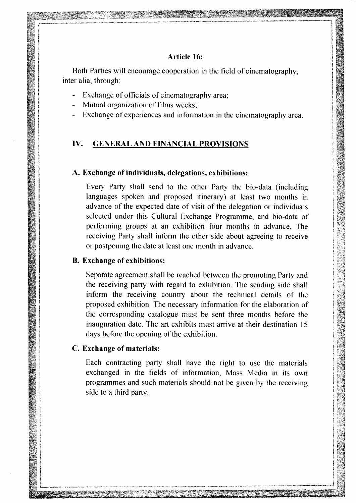# Article 16:

Both Parties will encourage cooperation in the field of cinematography, inter alia. through.

- Erchange of officials of cinematography area;
- Mutual organization of films weeks,

 $\cdots$ i $\cdots$ S $\cdots$ 

:F:€s\$a^#&\*.;iffitFi

Exchange of experiences and information in the cinematography area.

# IV. GENERAL AND FINANCIAL PROVISIONS

#### A. Exchange of individuals, delegations, exhibitions:

Every Party shall send to the other Party the bio-data (including languages spoken and proposed itinerary) at least two months in advance of the expected date of visit of the delegation or individuals selected under this Cultural Exchange Programme, and bio-data of performing groups at an exhibition four months in advance. The receiving Party shall inform the other side about agreeing to receive or postponing the date at least one month in advance.

## B. Exchange of exhibitions:

Separate agreement shall be reached between the promoting Party and the receiving party with regard to exhibition. The sending side shall inform the receiving country about the technical details of the proposed exhibition. The necessary information for the elaboration of the corresponding catalogue must be sent three months before the inauguration date. The art exhibits must arrive at their destination 15 days before the opening of the exhibition.

#### Exchange of materials: C.

Each contracting parfy shall have the right to use the materials exchanged in the fields of information, Mass Media in its own programmes and such materials should not be given by the receiving side to a third party.